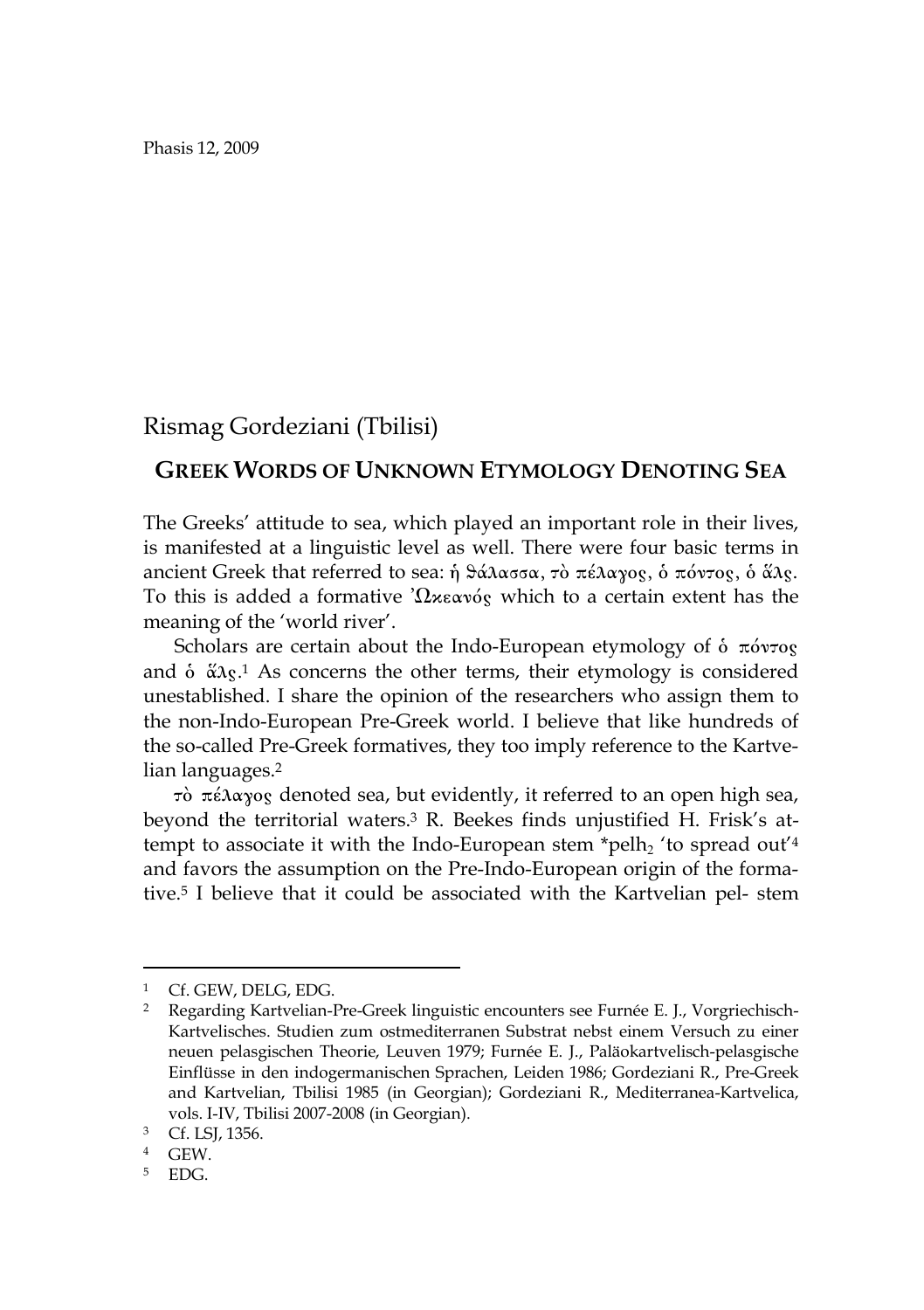Phasis 12, 2009

## Rismag Gordeziani (Tbilisi)

## GREEK WORDS OF UNKNOWN ETYMOLOGY DENOTING SEA

The Greeks' attitude to sea, which played an important role in their lives, is manifested at a linguistic level as well. There were four basic terms in ancient Greek that referred to sea: ¹ q£lassa, tÕ pšlagoj, Ð pÒntoj, Ð ¤lj. To this is added a formative  $\Omega \times \Omega$  we which to a certain extent has the meaning of the 'world river'.

Scholars are certain about the Indo-European etymology of  $\delta$   $\pi\delta\nu\tau$ og and  $\delta$   $\alpha$ <sub>3</sub>.1 As concerns the other terms, their etymology is considered unestablished. I share the opinion of the researchers who assign them to the non-Indo-European Pre-Greek world. I believe that like hundreds of the so-called Pre-Greek formatives, they too imply reference to the Kartvelian languages.2

 $\tau$ δ πέλαγος denoted sea, but evidently, it referred to an open high sea, beyond the territorial waters.3 R. Beekes finds unjustified H. Frisk's attempt to associate it with the Indo-European stem \*pelh<sub>2</sub> 'to spread out'<sup>4</sup> and favors the assumption on the Pre-Indo-European origin of the formative.5 I believe that it could be associated with the Kartvelian pel- stem

 $\overline{a}$ 

<sup>1</sup> Cf. GEW, DELG, EDG.

<sup>2</sup> Regarding Kartvelian-Pre-Greek linguistic encounters see Furnée E. J., Vorgriechisch-Kartvelisches. Studien zum ostmediterranen Substrat nebst einem Versuch zu einer neuen pelasgischen Theorie, Leuven 1979; Furnée E. J., Paläokartvelisch-pelasgische Einflüsse in den indogermanischen Sprachen, Leiden 1986; Gordeziani R., Pre-Greek and Kartvelian, Tbilisi 1985 (in Georgian); Gordeziani R., Mediterranea-Kartvelica, vols. I-IV, Tbilisi 2007-2008 (in Georgian).

<sup>3</sup> Cf. LSJ, 1356.

<sup>4</sup> GEW.

<sup>5</sup> EDG.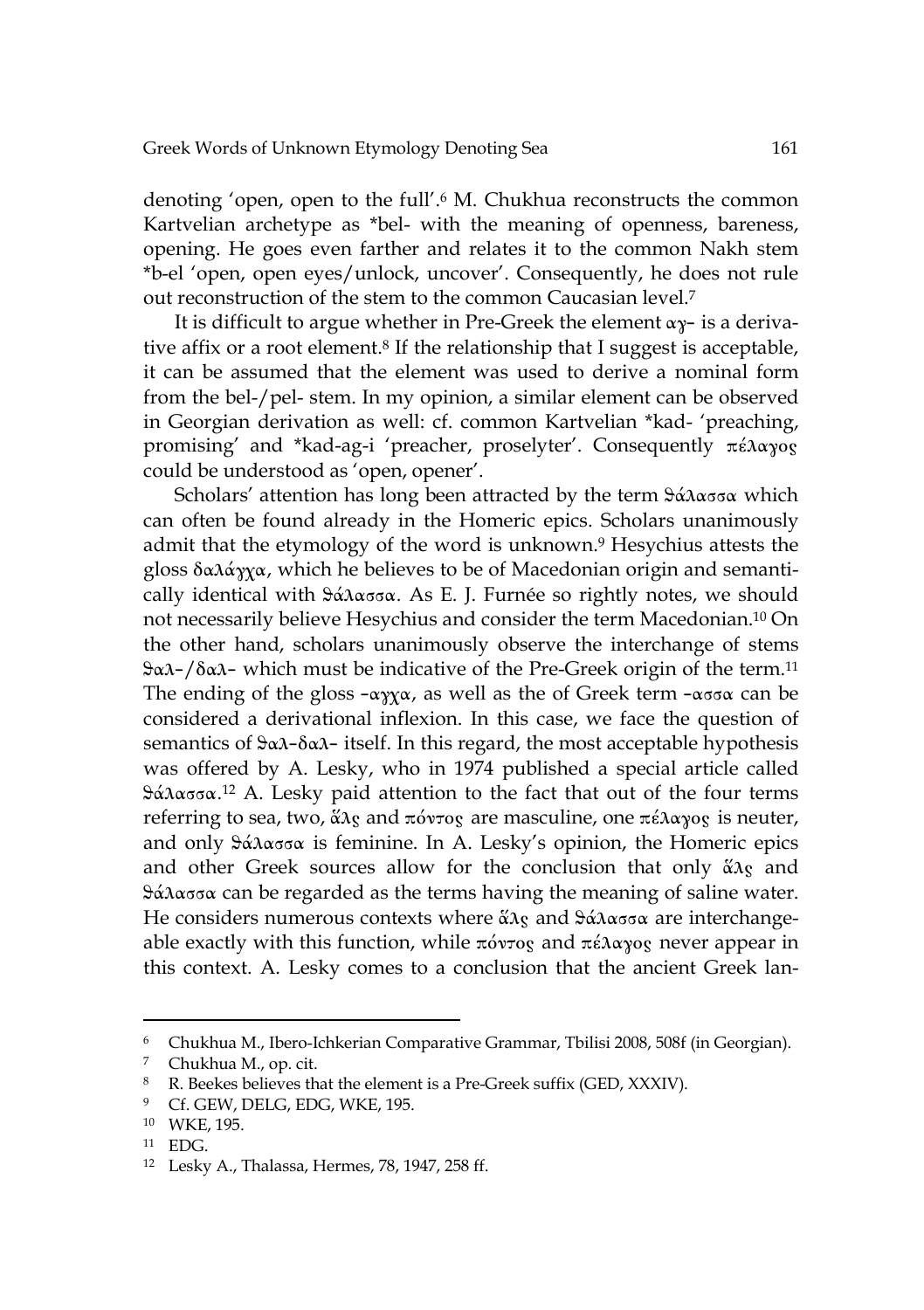denoting 'open, open to the full'.<sup>6</sup> M. Chukhua reconstructs the common Kartvelian archetype as \*bel- with the meaning of openness, bareness, opening. He goes even farther and relates it to the common Nakh stem \*b-el 'open, open eyes/unlock, uncover'. Consequently, he does not rule out reconstruction of the stem to the common Caucasian level.7

It is difficult to argue whether in Pre-Greek the element  $\alpha y$ - is a derivative affix or a root element.<sup>8</sup> If the relationship that I suggest is acceptable, it can be assumed that the element was used to derive a nominal form from the bel-/pel- stem. In my opinion, a similar element can be observed in Georgian derivation as well: cf. common Kartvelian \*kad- 'preaching, promising' and \*kad-ag-i 'preacher, proselyter'. Consequently  $\pi \epsilon \lambda \alpha \gamma o_S$ could be understood as 'open, opener'.

Scholars' attention has long been attracted by the term  $\frac{1}{2}a\lambda \alpha \sigma \sigma \alpha$  which can often be found already in the Homeric epics. Scholars unanimously admit that the etymology of the word is unknown.9 Hesychius attests the gloss  $\delta \alpha \lambda \dot{\alpha} \gamma \gamma \alpha$ , which he believes to be of Macedonian origin and semantically identical with  $\frac{1}{2}$   $\frac{1}{2}$   $\frac{1}{2}$   $\frac{1}{2}$   $\frac{1}{2}$   $\frac{1}{2}$   $\frac{1}{2}$   $\frac{1}{2}$   $\frac{1}{2}$   $\frac{1}{2}$   $\frac{1}{2}$   $\frac{1}{2}$   $\frac{1}{2}$   $\frac{1}{2}$   $\frac{1}{2}$   $\frac{1}{2}$   $\frac{1}{2}$   $\frac{1}{2}$   $\frac{1}{2}$   $\frac{1}{2}$  not necessarily believe Hesychius and consider the term Macedonian.10 On the other hand, scholars unanimously observe the interchange of stems  $\frac{1}{2}a\lambda-\frac{1}{\alpha}\lambda$ - which must be indicative of the Pre-Greek origin of the term.<sup>11</sup> The ending of the gloss  $-\alpha \gamma \gamma \alpha$ , as well as the of Greek term  $-\alpha \sigma \alpha$  can be considered a derivational inflexion. In this case, we face the question of semantics of  $\alpha\lambda-\delta\alpha\lambda$ - itself. In this regard, the most acceptable hypothesis was offered by A. Lesky, who in 1974 published a special article called  $\frac{1}{2}$   $\frac{2}{\alpha}$  A. Lesky paid attention to the fact that out of the four terms referring to sea, two, άλς and πόντος are masculine, one πέλαγος is neuter, and only  $\frac{1}{2}$   $\frac{1}{2}$   $\frac{1}{2}$  and  $\frac{1}{2}$  is feminine. In A. Lesky's opinion, the Homeric epics and other Greek sources allow for the conclusion that only  $\alpha \alpha$  and  $\frac{1}{2}a\lambda \alpha \sigma \sigma \alpha$  can be regarded as the terms having the meaning of saline water. He considers numerous contexts where  $\alpha_{\lambda}$  and  $\beta_{\alpha}$  and  $\alpha_{\alpha}$  are interchangeable exactly with this function, while  $\pi\acute{o}v\tau$ og and  $\pi\acute{e}\lambda\alpha\gamma$ og never appear in this context. A. Lesky comes to a conclusion that the ancient Greek lan-

 $\overline{a}$ 

 $^6$  Chukhua M., Ibero-Ichkerian Comparative Grammar, Tbilisi 2008, 508f (in Georgian). $^7$  Chukhua M., op. cit.

<sup>8</sup> R. Beekes believes that the element is a Pre-Greek suffix (GED, XXXIV).

<sup>&</sup>lt;sup>9</sup> Cf. GEW, DELG, EDG, WKE, 195.

<sup>10</sup> WKE, 195.

<sup>11</sup> EDG.

<sup>12</sup> Lesky A., Thalassa, Hermes, 78, 1947, 258 ff.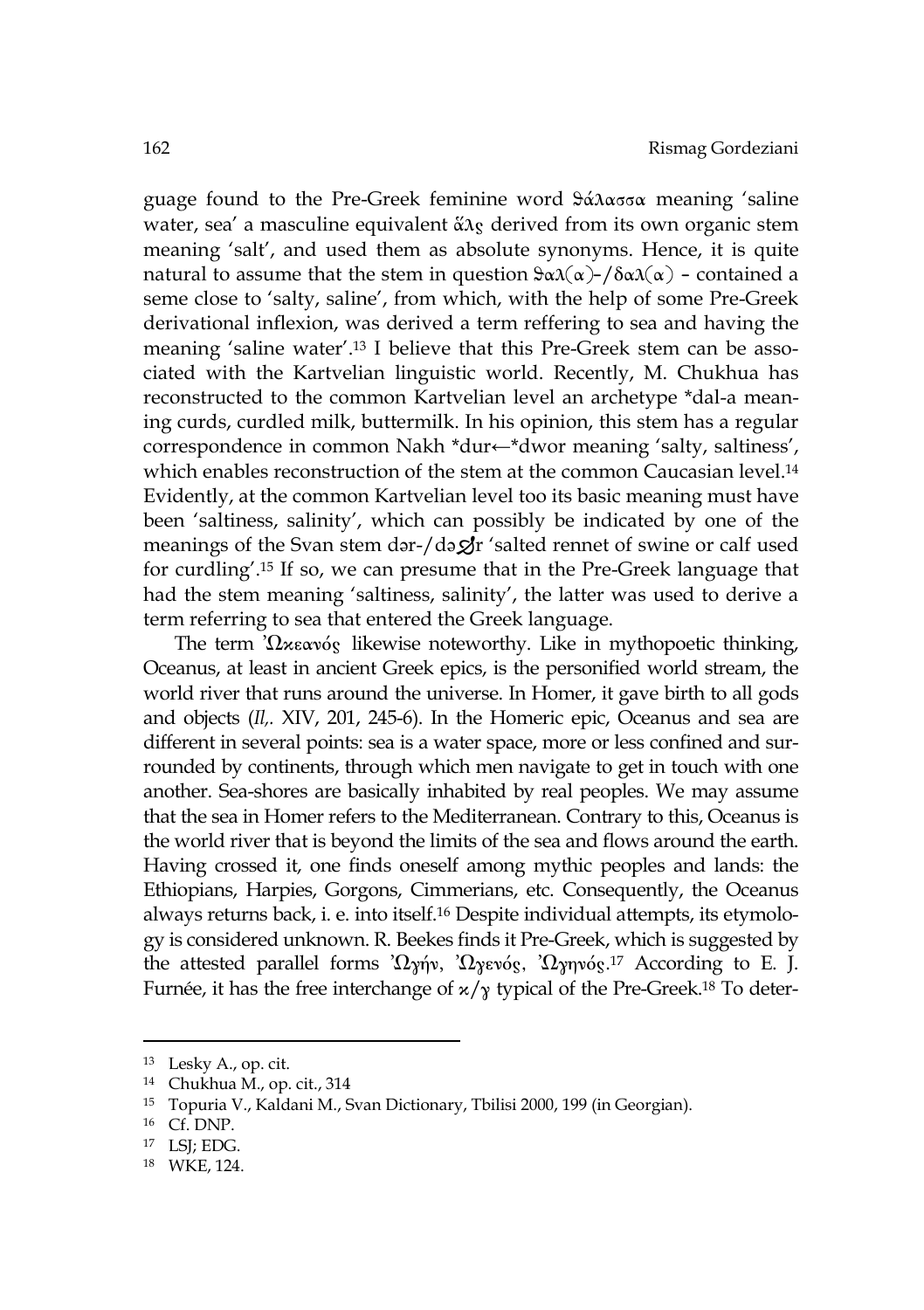guage found to the Pre-Greek feminine word  $\frac{2}{\alpha}$ assa meaning 'saline water, sea' a masculine equivalent  $\tilde{\alpha} \lambda_{S}$  derived from its own organic stem meaning 'salt', and used them as absolute synonyms. Hence, it is quite natural to assume that the stem in question  $\theta \alpha(\alpha)$ -/ $\delta \alpha(\alpha)$  - contained a seme close to 'salty, saline', from which, with the help of some Pre-Greek derivational inflexion, was derived a term reffering to sea and having the meaning 'saline water'.13 I believe that this Pre-Greek stem can be associated with the Kartvelian linguistic world. Recently, M. Chukhua has reconstructed to the common Kartvelian level an archetype \*dal-a meaning curds, curdled milk, buttermilk. In his opinion, this stem has a regular correspondence in common Nakh \*dur←\*dwor meaning 'salty, saltiness', which enables reconstruction of the stem at the common Caucasian level.14 Evidently, at the common Kartvelian level too its basic meaning must have been 'saltiness, salinity', which can possibly be indicated by one of the meanings of the Svan stem dər-/də $\mathcal{L}$ r 'salted rennet of swine or calf used for curdling'.15 If so, we can presume that in the Pre-Greek language that had the stem meaning 'saltiness, salinity', the latter was used to derive a term referring to sea that entered the Greek language.

The term ' $\Omega$ <sub>xe</sub>av<sub>o's</sub> likewise noteworthy. Like in mythopoetic thinking, Oceanus, at least in ancient Greek epics, is the personified world stream, the world river that runs around the universe. In Homer, it gave birth to all gods and objects (*Il,.* XIV, 201, 245-6). In the Homeric epic, Oceanus and sea are different in several points: sea is a water space, more or less confined and surrounded by continents, through which men navigate to get in touch with one another. Sea-shores are basically inhabited by real peoples. We may assume that the sea in Homer refers to the Mediterranean. Contrary to this, Oceanus is the world river that is beyond the limits of the sea and flows around the earth. Having crossed it, one finds oneself among mythic peoples and lands: the Ethiopians, Harpies, Gorgons, Cimmerians, etc. Consequently, the Oceanus always returns back, i. e. into itself.16 Despite individual attempts, its etymology is considered unknown. R. Beekes finds it Pre-Greek, which is suggested by the attested parallel forms ' $\Omega_{\chi}$ <sup>n</sup>/w, ' $\Omega_{\chi}$ evóg, ' $\Omega_{\chi}$ nvóg.<sup>17</sup> According to E. J. Furnée, it has the free interchange of  $\alpha/\gamma$  typical of the Pre-Greek.<sup>18</sup> To deter-

 $\overline{a}$ 

<sup>13</sup> Lesky A., op. cit.

<sup>14</sup> Chukhua M., op. cit., 314

<sup>15</sup> Topuria V., Kaldani M., Svan Dictionary, Tbilisi 2000, 199 (in Georgian).

 $16$  Cf. DNP.

<sup>17</sup> LSJ; EDG.

<sup>18</sup> WKE, 124.